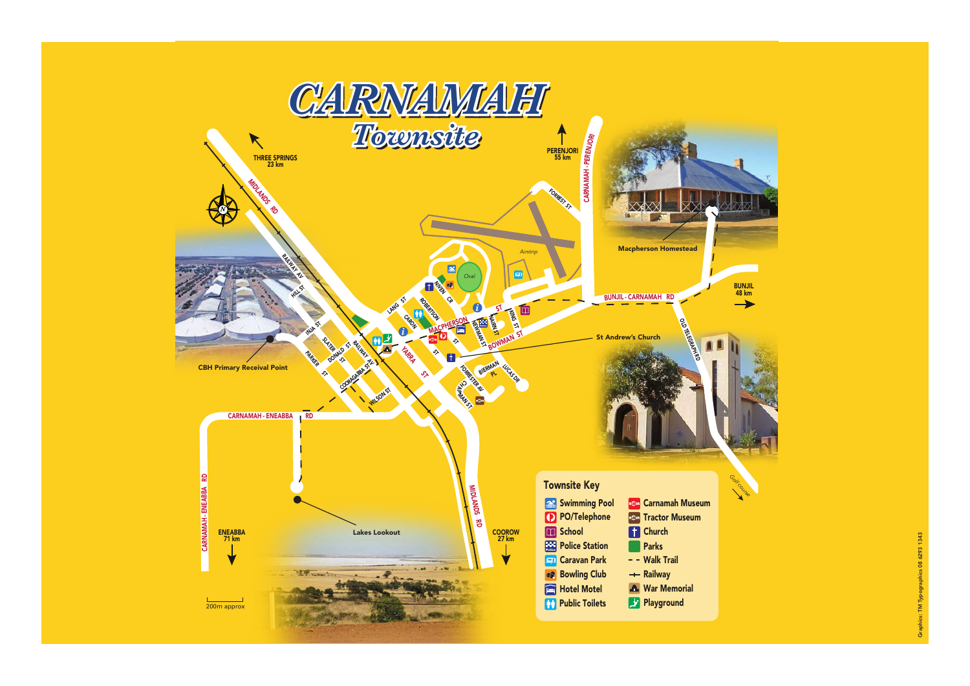